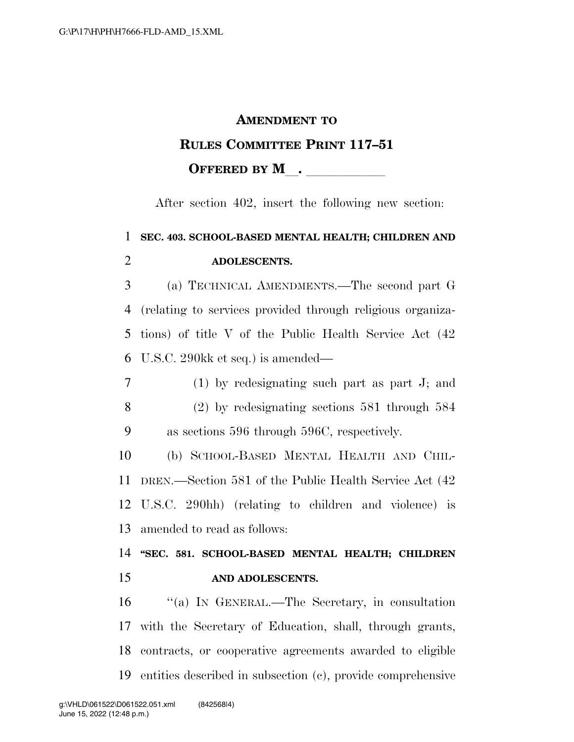## **AMENDMENT TO RULES COMMITTEE PRINT 117–51 OFFERED BY M** .

After section 402, insert the following new section:

## **SEC. 403. SCHOOL-BASED MENTAL HEALTH; CHILDREN AND ADOLESCENTS.**

 (a) TECHNICAL AMENDMENTS.—The second part G (relating to services provided through religious organiza- tions) of title V of the Public Health Service Act (42 U.S.C. 290kk et seq.) is amended—

 (1) by redesignating such part as part J; and (2) by redesignating sections 581 through 584 as sections 596 through 596C, respectively.

 (b) SCHOOL-BASED MENTAL HEALTH AND CHIL- DREN.—Section 581 of the Public Health Service Act (42 U.S.C. 290hh) (relating to children and violence) is amended to read as follows:

## **''SEC. 581. SCHOOL-BASED MENTAL HEALTH; CHILDREN AND ADOLESCENTS.**

 ''(a) IN GENERAL.—The Secretary, in consultation with the Secretary of Education, shall, through grants, contracts, or cooperative agreements awarded to eligible entities described in subsection (c), provide comprehensive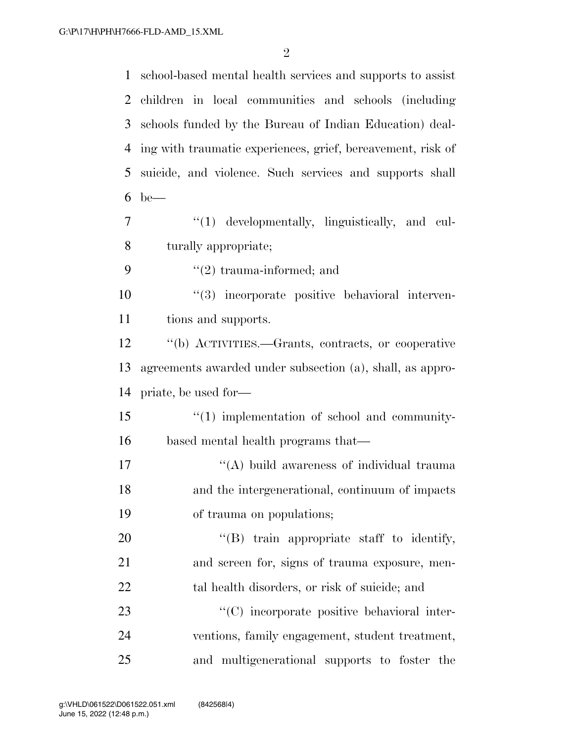school-based mental health services and supports to assist children in local communities and schools (including schools funded by the Bureau of Indian Education) deal- ing with traumatic experiences, grief, bereavement, risk of suicide, and violence. Such services and supports shall be— ''(1) developmentally, linguistically, and cul- turally appropriate;  $\frac{1}{2}$  trauma-informed; and ''(3) incorporate positive behavioral interven- tions and supports. ''(b) ACTIVITIES.—Grants, contracts, or cooperative agreements awarded under subsection (a), shall, as appro- priate, be used for—  $\frac{15}{10}$   $\frac{15}{10}$  implementation of school and community- based mental health programs that— 17 ''(A) build awareness of individual trauma and the intergenerational, continuum of impacts of trauma on populations;  $\text{``(B)}$  train appropriate staff to identify, and screen for, signs of trauma exposure, men-22 tal health disorders, or risk of suicide; and  $\cdot$  (C) incorporate positive behavioral inter- ventions, family engagement, student treatment, and multigenerational supports to foster the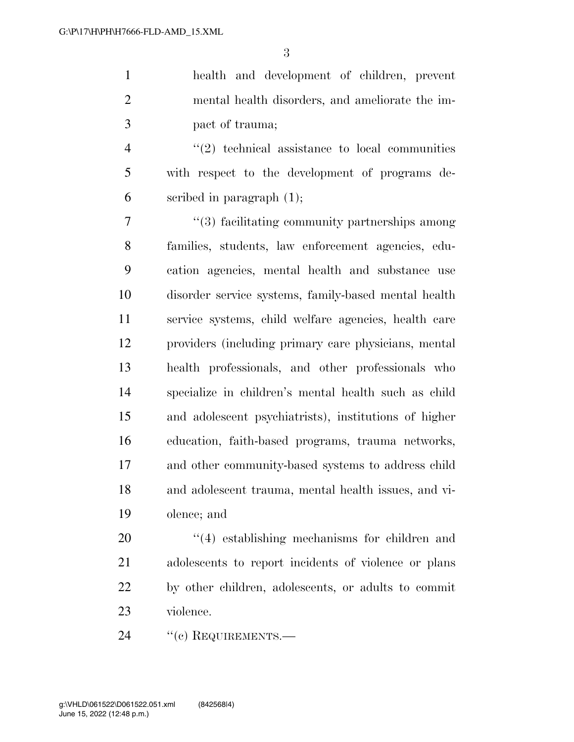health and development of children, prevent mental health disorders, and ameliorate the im-pact of trauma;

 ''(2) technical assistance to local communities with respect to the development of programs de-scribed in paragraph (1);

 ''(3) facilitating community partnerships among families, students, law enforcement agencies, edu- cation agencies, mental health and substance use disorder service systems, family-based mental health service systems, child welfare agencies, health care providers (including primary care physicians, mental health professionals, and other professionals who specialize in children's mental health such as child and adolescent psychiatrists), institutions of higher education, faith-based programs, trauma networks, and other community-based systems to address child and adolescent trauma, mental health issues, and vi-olence; and

 $\frac{1}{4}$  establishing mechanisms for children and adolescents to report incidents of violence or plans by other children, adolescents, or adults to commit violence.

24 "(c) REQUIREMENTS.—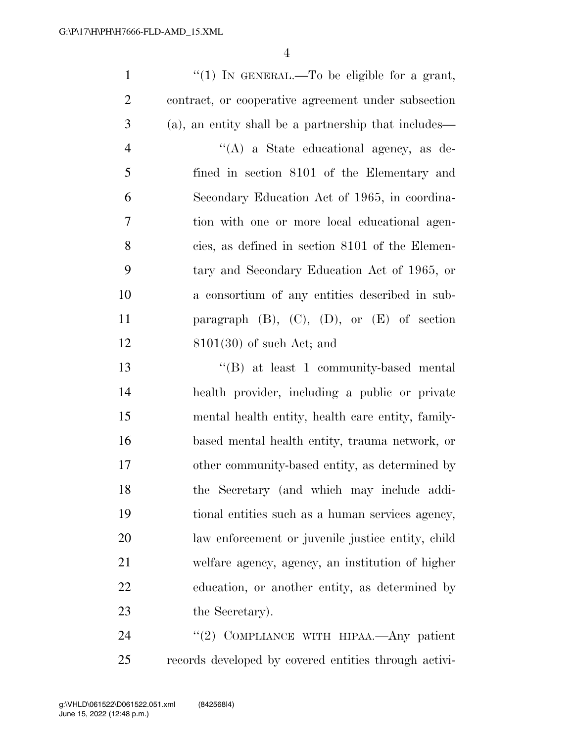$\frac{1}{1}$  In GENERAL.—To be eligible for a grant, contract, or cooperative agreement under subsection (a), an entity shall be a partnership that includes— ''(A) a State educational agency, as de- fined in section 8101 of the Elementary and Secondary Education Act of 1965, in coordina- tion with one or more local educational agen- cies, as defined in section 8101 of the Elemen- tary and Secondary Education Act of 1965, or a consortium of any entities described in sub- paragraph (B), (C), (D), or (E) of section 8101(30) of such Act; and ''(B) at least 1 community-based mental health provider, including a public or private mental health entity, health care entity, family- based mental health entity, trauma network, or other community-based entity, as determined by the Secretary (and which may include addi- tional entities such as a human services agency, law enforcement or juvenile justice entity, child welfare agency, agency, an institution of higher education, or another entity, as determined by 23 the Secretary).

24 "(2) COMPLIANCE WITH HIPAA.—Any patient records developed by covered entities through activi-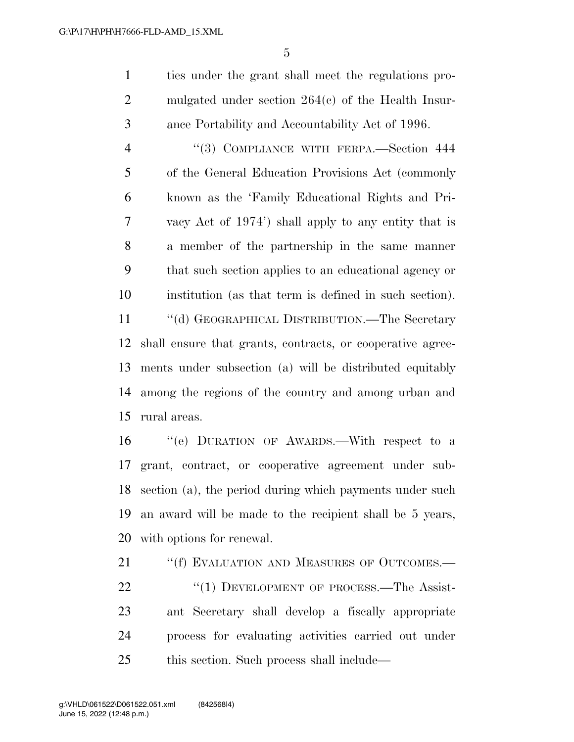ties under the grant shall meet the regulations pro- mulgated under section 264(c) of the Health Insur-ance Portability and Accountability Act of 1996.

 ''(3) COMPLIANCE WITH FERPA.—Section 444 of the General Education Provisions Act (commonly known as the 'Family Educational Rights and Pri- vacy Act of 1974') shall apply to any entity that is a member of the partnership in the same manner that such section applies to an educational agency or institution (as that term is defined in such section).

 ''(d) GEOGRAPHICAL DISTRIBUTION.—The Secretary shall ensure that grants, contracts, or cooperative agree- ments under subsection (a) will be distributed equitably among the regions of the country and among urban and rural areas.

 ''(e) DURATION OF AWARDS.—With respect to a grant, contract, or cooperative agreement under sub- section (a), the period during which payments under such an award will be made to the recipient shall be 5 years, with options for renewal.

21 ""(f) EVALUATION AND MEASURES OF OUTCOMES.— 22 "(1) DEVELOPMENT OF PROCESS.—The Assist- ant Secretary shall develop a fiscally appropriate process for evaluating activities carried out under this section. Such process shall include—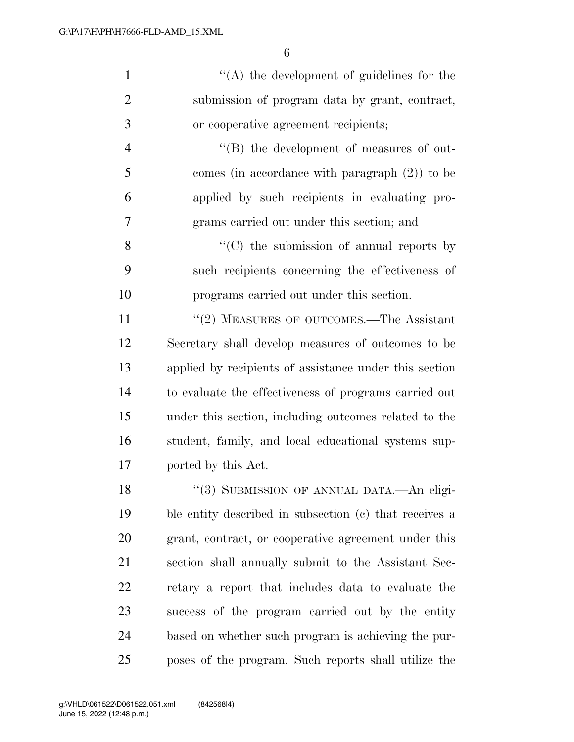| $\mathbf{1}$   | $\lq\lq$ the development of guidelines for the         |
|----------------|--------------------------------------------------------|
| $\overline{2}$ | submission of program data by grant, contract,         |
| 3              | or cooperative agreement recipients;                   |
| $\overline{4}$ | "(B) the development of measures of out-               |
| 5              | comes (in accordance with paragraph $(2)$ ) to be      |
| 6              | applied by such recipients in evaluating pro-          |
| 7              | grams carried out under this section; and              |
| 8              | $\lq\lq$ (C) the submission of annual reports by       |
| 9              | such recipients concerning the effectiveness of        |
| 10             | programs carried out under this section.               |
| 11             | "(2) MEASURES OF OUTCOMES.—The Assistant               |
| 12             | Secretary shall develop measures of outcomes to be     |
| 13             | applied by recipients of assistance under this section |
| 14             | to evaluate the effectiveness of programs carried out  |
| 15             | under this section, including outcomes related to the  |
| 16             | student, family, and local educational systems sup-    |
| 17             | ported by this Act.                                    |
| 18             | "(3) SUBMISSION OF ANNUAL DATA.—An eligi-              |
| 19             | ble entity described in subsection (c) that receives a |
| 20             | grant, contract, or cooperative agreement under this   |
| 21             | section shall annually submit to the Assistant Sec-    |
| 22             | retary a report that includes data to evaluate the     |
| 23             | success of the program carried out by the entity       |
| 24             | based on whether such program is achieving the pur-    |
| 25             | poses of the program. Such reports shall utilize the   |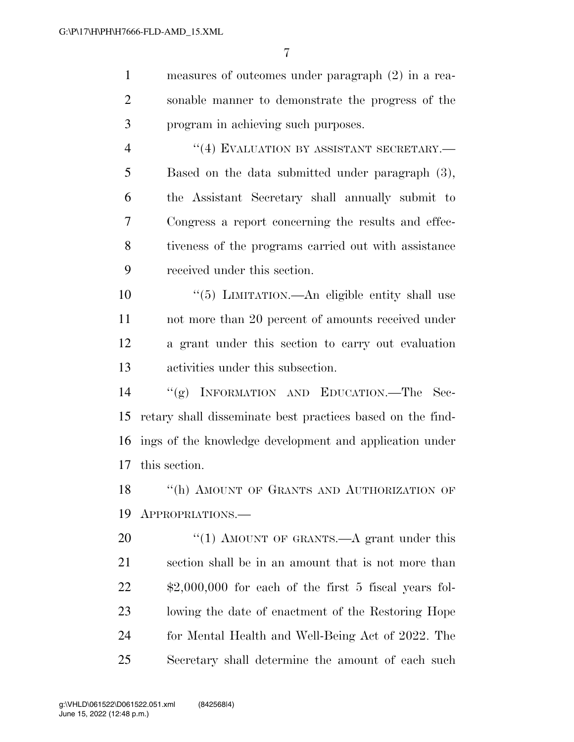| $\mathbf{1}$   | measures of outcomes under paragraph $(2)$ in a rea-          |
|----------------|---------------------------------------------------------------|
| $\overline{2}$ | sonable manner to demonstrate the progress of the             |
| 3              | program in achieving such purposes.                           |
| $\overline{4}$ | "(4) EVALUATION BY ASSISTANT SECRETARY.-                      |
| 5              | Based on the data submitted under paragraph (3),              |
| 6              | the Assistant Secretary shall annually submit to              |
| 7              | Congress a report concerning the results and effec-           |
| 8              | tiveness of the programs carried out with assistance          |
| 9              | received under this section.                                  |
| 10             | "(5) LIMITATION.—An eligible entity shall use                 |
| 11             | not more than 20 percent of amounts received under            |
| 12             | a grant under this section to carry out evaluation            |
| 13             | activities under this subsection.                             |
| 14             | "(g) INFORMATION AND EDUCATION.—The Sec-                      |
| 15             | retary shall disseminate best practices based on the find-    |
| 16             | ings of the knowledge development and application under       |
| 17             | this section.                                                 |
| 18             | "(h) AMOUNT OF GRANTS AND AUTHORIZATION OF                    |
| 19             | APPROPRIATIONS.                                               |
| 20             | "(1) AMOUNT OF GRANTS.—A grant under this                     |
| 21             | section shall be in an amount that is not more than           |
| 22             | $\text{$}2,000,000$ for each of the first 5 fiscal years fol- |
| 23             | lowing the date of enactment of the Restoring Hope            |
| 24             | for Mental Health and Well-Being Act of 2022. The             |

Secretary shall determine the amount of each such